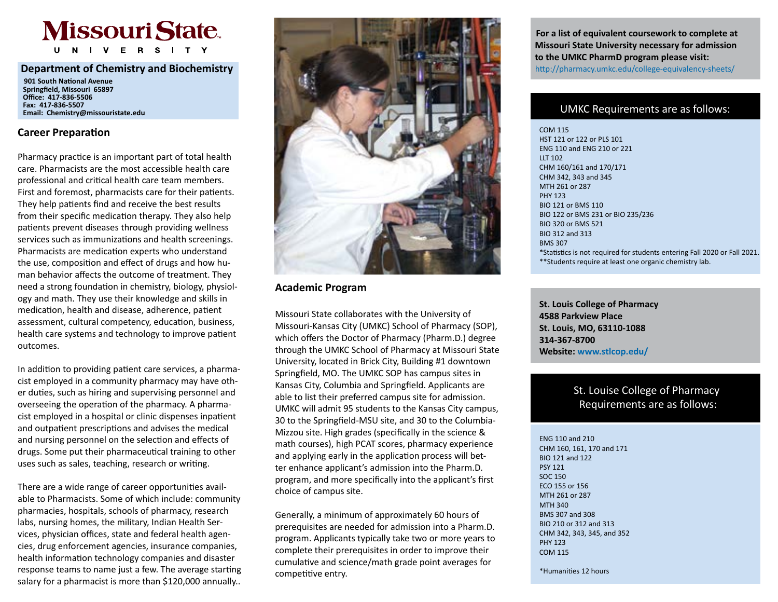# **Missouri State**

I V E R S I T Y

### **Department of Chemistry and Biochemistry**

 **901 South National Avenue Springfield, Missouri 65897 Office: 417-836-5506 Fax: 417-836-5507 Email: Chemistry@missouristate.edu**

### **Career Preparation**

Pharmacy practice is an important part of total health care. Pharmacists are the most accessible health care professional and critical health care team members. First and foremost, pharmacists care for their patients. They help patients find and receive the best results from their specific medication therapy. They also help patients prevent diseases through providing wellness services such as immunizations and health screenings. Pharmacists are medication experts who understand the use, composition and effect of drugs and how human behavior affects the outcome of treatment. They need a strong foundation in chemistry, biology, physiology and math. They use their knowledge and skills in medication, health and disease, adherence, patient assessment, cultural competency, education, business, health care systems and technology to improve patient outcomes.

In addition to providing patient care services, a pharmacist employed in a community pharmacy may have other duties, such as hiring and supervising personnel and overseeing the operation of the pharmacy. A pharmacist employed in a hospital or clinic dispenses inpatient and outpatient prescriptions and advises the medical and nursing personnel on the selection and effects of drugs. Some put their pharmaceutical training to other uses such as sales, teaching, research or writing.

There are a wide range of career opportunities available to Pharmacists. Some of which include: community pharmacies, hospitals, schools of pharmacy, research labs, nursing homes, the military, Indian Health Services, physician offices, state and federal health agencies, drug enforcement agencies, insurance companies, health information technology companies and disaster response teams to name just a few. The average starting salary for a pharmacist is more than \$120,000 annually..



## **Academic Program**

Missouri State collaborates with the University of Missouri-Kansas City (UMKC) School of Pharmacy (SOP), which offers the Doctor of Pharmacy (Pharm.D.) degree through the UMKC School of Pharmacy at Missouri State University, located in Brick City, Building #1 downtown Springfield, MO. The UMKC SOP has campus sites in Kansas City, Columbia and Springfield. Applicants are able to list their preferred campus site for admission. UMKC will admit 95 students to the Kansas City campus, 30 to the Springfield-MSU site, and 30 to the Columbia-Mizzou site. High grades (specifically in the science & math courses), high PCAT scores, pharmacy experience and applying early in the application process will better enhance applicant's admission into the Pharm.D. program, and more specifically into the applicant's first choice of campus site.

Generally, a minimum of approximately 60 hours of prerequisites are needed for admission into a Pharm.D. program. Applicants typically take two or more years to complete their prerequisites in order to improve their cumulative and science/math grade point averages for competitive entry.

 **For a list of equivalent coursework to complete at Missouri State University necessary for admission to the UMKC PharmD program please visit:**  http://pharmacy.umkc.edu/college-equivalency-sheets/

UMKC Requirements are as follows:

\*\*Students require at least one organic chemistry lab. COM 115 HST 121 or 122 or PLS 101 ENG 110 and ENG 210 or 221 LLT 102 CHM 160/161 and 170/171 CHM 342, 343 and 345 MTH 261 or 287 PHY 123 BIO 121 or BMS 110 BIO 122 or BMS 231 or BIO 235/236 BIO 320 or BMS 521 BIO 312 and 313 BMS 307 \*Statistics is not required for students entering Fall 2020 or Fall 2021.

**St. Louis College of Pharmacy 4588 Parkview Place St. Louis, MO, 63110-1088 314-367-8700 Website: www.stlcop.edu/** 

# St. Louise College of Pharmacy Requirements are as follows:

ENG 110 and 210 CHM 160, 161, 170 and 171 BIO 121 and 122 PSY 121 SOC 150 ECO 155 or 156 MTH 261 or 287 MTH 340 BMS 307 and 308 BIO 210 or 312 and 313 CHM 342, 343, 345, and 352 PHY 123 COM 115

\*Humanities 12 hours